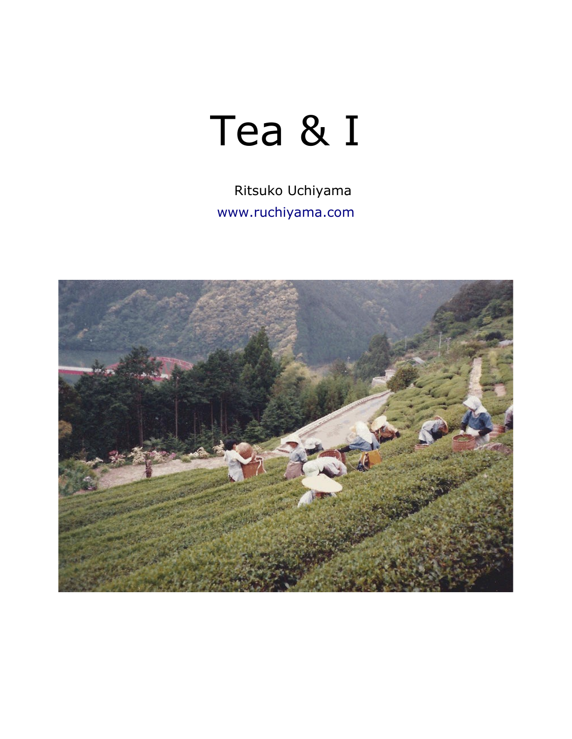## Tea & I

Ritsuko Uchiyama [www.ruchiyama.com](http://www.ruchiyama.com/)

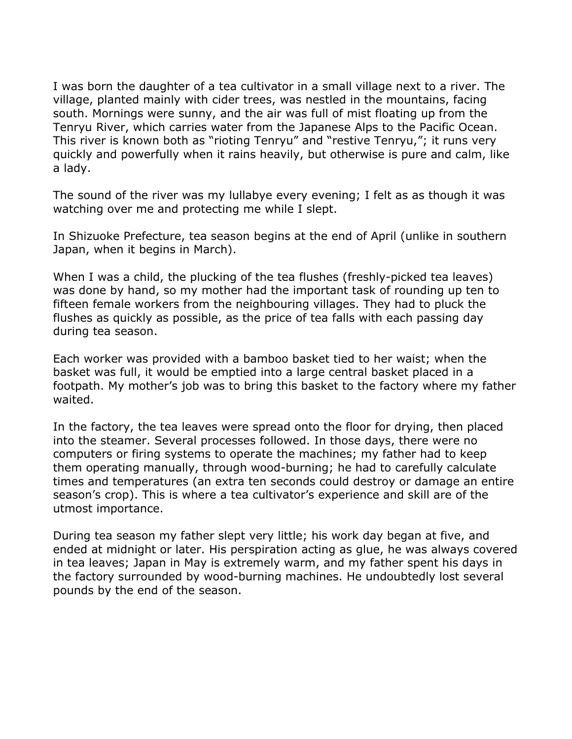I was born the daughter of a tea cultivator in a small village next to a river. The village, planted mainly with cider trees, was nestled in the mountains, facing south. Mornings were sunny, and the air was full of mist floating up from the Tenryu River, which carries water from the Japanese Alps to the Pacific Ocean. This river is known both as "rioting Tenryu" and "restive Tenryu,"; it runs very quickly and powerfully when it rains heavily, but otherwise is pure and calm, like a lady.

The sound of the river was my lullabye every evening; I felt as as though it was watching over me and protecting me while I slept.

In Shizuoke Prefecture, tea season begins at the end of April (unlike in southern Japan, when it begins in March).

When I was a child, the plucking of the tea flushes (freshly-picked tea leaves) was done by hand, so my mother had the important task of rounding up ten to fifteen female workers from the neighbouring villages. They had to pluck the flushes as quickly as possible, as the price of tea falls with each passing day during tea season.

Each worker was provided with a bamboo basket tied to her waist; when the basket was full, it would be emptied into a large central basket placed in a footpath. My mother's job was to bring this basket to the factory where my father waited.

In the factory, the tea leaves were spread onto the floor for drying, then placed into the steamer. Several processes followed. In those days, there were no computers or firing systems to operate the machines; my father had to keep them operating manually, through wood-burning; he had to carefully calculate times and temperatures (an extra ten seconds could destroy or damage an entire season's crop). This is where a tea cultivator's experience and skill are of the utmost importance.

During tea season my father slept very little; his work day began at five, and ended at midnight or later. His perspiration acting as glue, he was always covered in tea leaves; Japan in May is extremely warm, and my father spent his days in the factory surrounded by wood-burning machines. He undoubtedly lost several pounds by the end of the season.